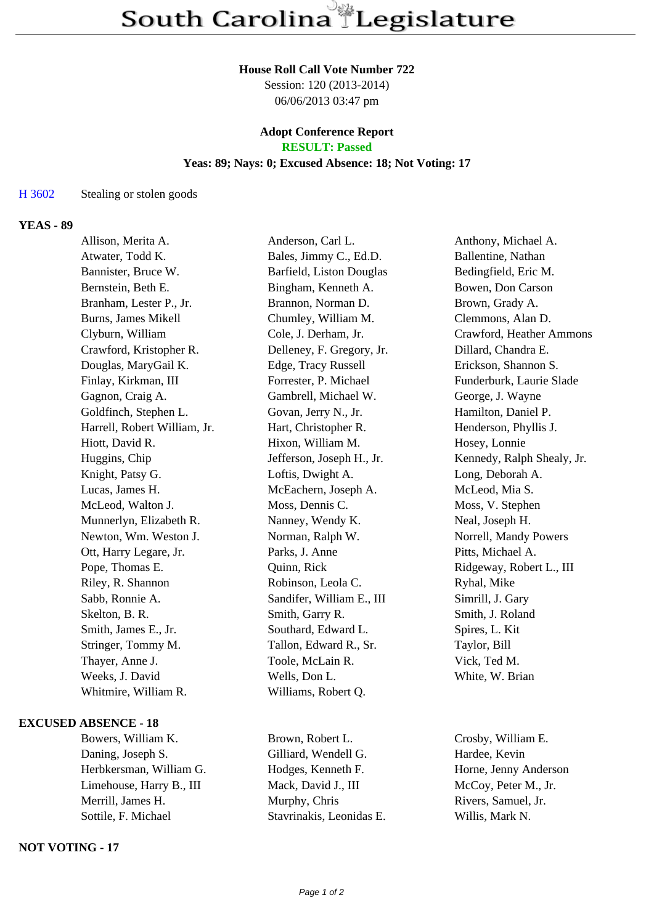#### **House Roll Call Vote Number 722**

Session: 120 (2013-2014) 06/06/2013 03:47 pm

# **Adopt Conference Report**

## **RESULT: Passed**

## **Yeas: 89; Nays: 0; Excused Absence: 18; Not Voting: 17**

#### H 3602 Stealing or stolen goods

#### **YEAS - 89**

| Allison, Merita A.           | Anderson, Carl L.         | Anthony, Michael A.        |
|------------------------------|---------------------------|----------------------------|
| Atwater, Todd K.             | Bales, Jimmy C., Ed.D.    | Ballentine, Nathan         |
| Bannister, Bruce W.          | Barfield, Liston Douglas  | Bedingfield, Eric M.       |
| Bernstein, Beth E.           | Bingham, Kenneth A.       | Bowen, Don Carson          |
| Branham, Lester P., Jr.      | Brannon, Norman D.        | Brown, Grady A.            |
| <b>Burns, James Mikell</b>   | Chumley, William M.       | Clemmons, Alan D.          |
| Clyburn, William             | Cole, J. Derham, Jr.      | Crawford, Heather Ammons   |
| Crawford, Kristopher R.      | Delleney, F. Gregory, Jr. | Dillard, Chandra E.        |
| Douglas, MaryGail K.         | Edge, Tracy Russell       | Erickson, Shannon S.       |
| Finlay, Kirkman, III         | Forrester, P. Michael     | Funderburk, Laurie Slade   |
| Gagnon, Craig A.             | Gambrell, Michael W.      | George, J. Wayne           |
| Goldfinch, Stephen L.        | Govan, Jerry N., Jr.      | Hamilton, Daniel P.        |
| Harrell, Robert William, Jr. | Hart, Christopher R.      | Henderson, Phyllis J.      |
| Hiott, David R.              | Hixon, William M.         | Hosey, Lonnie              |
| Huggins, Chip                | Jefferson, Joseph H., Jr. | Kennedy, Ralph Shealy, Jr. |
| Knight, Patsy G.             | Loftis, Dwight A.         | Long, Deborah A.           |
| Lucas, James H.              | McEachern, Joseph A.      | McLeod, Mia S.             |
| McLeod, Walton J.            | Moss, Dennis C.           | Moss, V. Stephen           |
| Munnerlyn, Elizabeth R.      | Nanney, Wendy K.          | Neal, Joseph H.            |
| Newton, Wm. Weston J.        | Norman, Ralph W.          | Norrell, Mandy Powers      |
| Ott, Harry Legare, Jr.       | Parks, J. Anne            | Pitts, Michael A.          |
| Pope, Thomas E.              | Quinn, Rick               | Ridgeway, Robert L., III   |
| Riley, R. Shannon            | Robinson, Leola C.        | Ryhal, Mike                |
| Sabb, Ronnie A.              | Sandifer, William E., III | Simrill, J. Gary           |
| Skelton, B. R.               | Smith, Garry R.           | Smith, J. Roland           |
| Smith, James E., Jr.         | Southard, Edward L.       | Spires, L. Kit             |
| Stringer, Tommy M.           | Tallon, Edward R., Sr.    | Taylor, Bill               |
| Thayer, Anne J.              | Toole, McLain R.          | Vick, Ted M.               |
| Weeks, J. David              | Wells, Don L.             | White, W. Brian            |
| Whitmire, William R.         | Williams, Robert Q.       |                            |
|                              |                           |                            |

#### **EXCUSED ABSENCE - 18**

Bowers, William K. Brown, Robert L. Crosby, William E. Daning, Joseph S. Gilliard, Wendell G. Hardee, Kevin Herbkersman, William G. Hodges, Kenneth F. Horne, Jenny Anderson Limehouse, Harry B., III Mack, David J., III McCoy, Peter M., Jr. Merrill, James H. Murphy, Chris Rivers, Samuel, Jr. Sottile, F. Michael Stavrinakis, Leonidas E. Willis, Mark N.

### **NOT VOTING - 17**